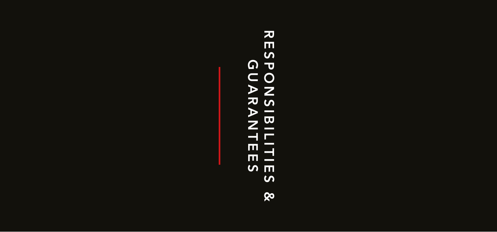# **RES** RESPONSIBILITIES & **PONSIBILITIES<br>GUARANTEES** GUARANTEES $\infty$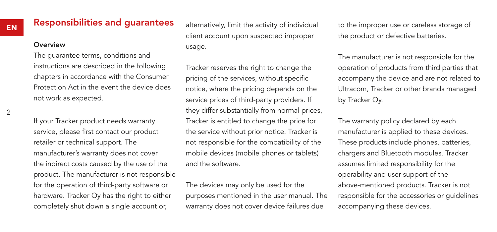### EN Responsibilities and guarantees

Overview

The guarantee terms, conditions and instructions are described in the following chapters in accordance with the Consumer Protection Act in the event the device does not work as expected.

If your Tracker product needs warranty service, please first contact our product retailer or technical support. The manufacturer's warranty does not cover the indirect costs caused by the use of the product. The manufacturer is not responsible for the operation of third-party software or hardware. Tracker Oy has the right to either completely shut down a single account or,

alternatively, limit the activity of individual client account upon suspected improper usage.

Tracker reserves the right to change the pricing of the services, without specific notice, where the pricing depends on the service prices of third-party providers. If they differ substantially from normal prices, Tracker is entitled to change the price for the service without prior notice. Tracker is not responsible for the compatibility of the mobile devices (mobile phones or tablets) and the software.

The devices may only be used for the purposes mentioned in the user manual. The warranty does not cover device failures due

to the improper use or careless storage of the product or defective batteries.

The manufacturer is not responsible for the operation of products from third parties that accompany the device and are not related to Ultracom, Tracker or other brands managed by Tracker Oy.

The warranty policy declared by each manufacturer is applied to these devices. These products include phones, batteries, chargers and Bluetooth modules. Tracker assumes limited responsibility for the operability and user support of the above-mentioned products. Tracker is not responsible for the accessories or guidelines accompanying these devices.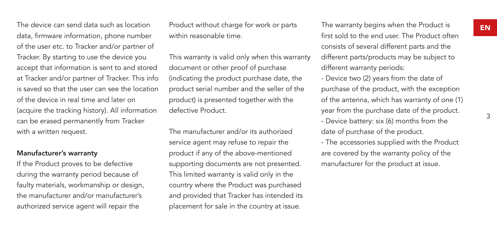The device can send data such as location erroduct without charge for work or parts The warranty begins when the Product is **EN** data, firmware information, phone number of the user etc. to Tracker and/or partner of Tracker. By starting to use the device you accept that information is sent to and stored at Tracker and/or partner of Tracker. This info is saved so that the user can see the location of the device in real time and later on (acquire the tracking history). All information can be erased permanently from Tracker with a written request.

#### Manufacturer's warranty

If the Product proves to be defective during the warranty period because of faulty materials, workmanship or design, the manufacturer and/or manufacturer's authorized service agent will repair the

within reasonable time.

This warranty is valid only when this warranty document or other proof of purchase (indicating the product purchase date, the product serial number and the seller of the product) is presented together with the defective Product.

The manufacturer and/or its authorized service agent may refuse to repair the product if any of the above-mentioned supporting documents are not presented. This limited warranty is valid only in the country where the Product was purchased and provided that Tracker has intended its placement for sale in the country at issue.

The warranty begins when the Product is first sold to the end user. The Product often consists of several different parts and the different parts/products may be subject to different warranty periods:

- Device two (2) years from the date of purchase of the product, with the exception of the antenna, which has warranty of one (1) year from the purchase date of the product. - Device battery: six (6) months from the date of purchase of the product.

- The accessories supplied with the Product are covered by the warranty policy of the manufacturer for the product at issue.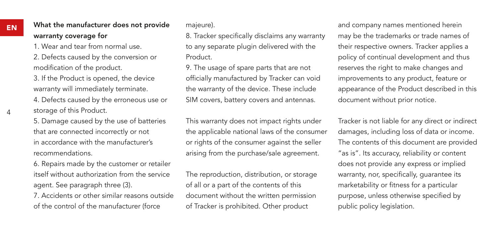### warranty coverage for

1. Wear and tear from normal use.

2. Defects caused by the conversion or modification of the product.

3. If the Product is opened, the device warranty will immediately terminate.

4. Defects caused by the erroneous use or storage of this Product.

5. Damage caused by the use of batteries that are connected incorrectly or not in accordance with the manufacturer's recommendations.

6. Repairs made by the customer or retailer itself without authorization from the service agent. See paragraph three (3).

7. Accidents or other similar reasons outside of the control of the manufacturer (force

majeure).

8. Tracker specifically disclaims any warranty to any separate plugin delivered with the Product.

9. The usage of spare parts that are not officially manufactured by Tracker can void the warranty of the device. These include SIM covers, battery covers and antennas.

This warranty does not impact rights under the applicable national laws of the consumer or rights of the consumer against the seller arising from the purchase/sale agreement.

The reproduction, distribution, or storage of all or a part of the contents of this document without the written permission of Tracker is prohibited. Other product

EN What the manufacturer does not provide majeure). This is a measure that we and company names mentioned herein may be the trademarks or trade names of their respective owners. Tracker applies a policy of continual development and thus reserves the right to make changes and improvements to any product, feature or appearance of the Product described in this document without prior notice.

> Tracker is not liable for any direct or indirect damages, including loss of data or income. The contents of this document are provided "as is". Its accuracy, reliability or content does not provide any express or implied warranty, nor, specifically, guarantee its marketability or fitness for a particular purpose, unless otherwise specified by public policy legislation.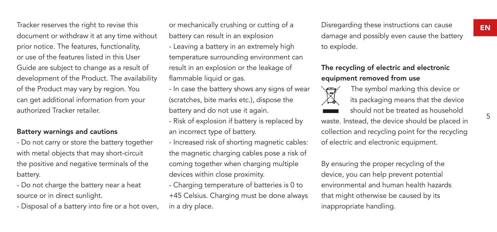Tracker reserves the right to revise this expression or mechanically crushing or cutting of a EN Disregarding these instructions can cause EN document or withdraw it at any time without prior notice. The features, functionality, or use of the features listed in this User Guide are subject to change as a result of development of the Product. The availability of the Product may vary by region. You can get additional information from your authorized Tracker retailer.

#### Battery warnings and cautions

- Do not carry or store the battery together with metal objects that may short-circuit the positive and negative terminals of the battery.

- Do not charge the battery near a heat source or in direct sunlight.

- Disposal of a battery into fire or a hot oven,

or mechanically crushing or cutting of a battery can result in an explosion - Leaving a battery in an extremely high temperature surrounding environment can result in an explosion or the leakage of flammable liquid or gas.

- In case the battery shows any signs of wear (scratches, bite marks etc.), dispose the battery and do not use it again.

- Risk of explosion if battery is replaced by an incorrect type of battery.
- Increased risk of shorting magnetic cables: the magnetic charging cables pose a risk of coming together when charging multiple devices within close proximity.
- Charging temperature of batteries is 0 to +45 Celsius. Charging must be done always in a dry place.

damage and possibly even cause the battery to explode.

#### The recycling of electric and electronic equipment removed from use

The symbol marking this device or its packaging means that the device should not be treated as household waste. Instead, the device should be placed in collection and recycling point for the recycling of electric and electronic equipment.

By ensuring the proper recycling of the device, you can help prevent potential environmental and human health hazards that might otherwise be caused by its inappropriate handling.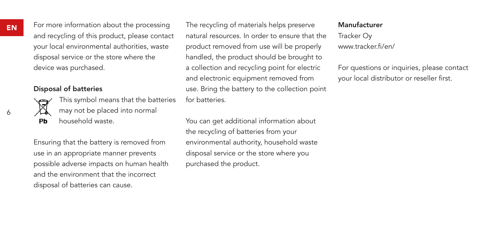EN For more information about the processing and recycling of this product, please contact your local environmental authorities, waste disposal service or the store where the device was purchased.

#### Disposal of batteries

 This symbol means that the batteries may not be placed into normal Pb household waste.

Ensuring that the battery is removed from use in an appropriate manner prevents possible adverse impacts on human health and the environment that the incorrect disposal of batteries can cause.

The recycling of materials helps preserve natural resources. In order to ensure that the product removed from use will be properly handled, the product should be brought to a collection and recycling point for electric and electronic equipment removed from use. Bring the battery to the collection point for batteries.

You can get additional information about the recycling of batteries from your environmental authority, household waste disposal service or the store where you purchased the product.

#### Manufacturer

Tracker Oy www.tracker.fi/en/

For questions or inquiries, please contact your local distributor or reseller first.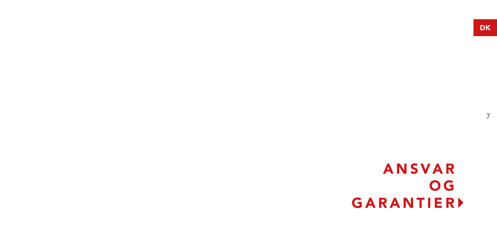### **ANSVAR** O G **GARANTIER**

7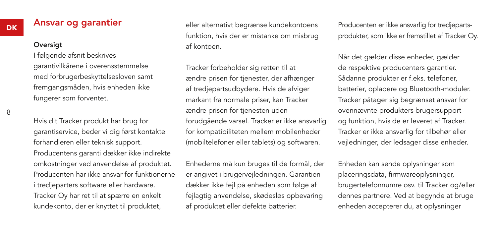#### DK Ansvar og garantier

#### **Oversigt**

I følgende afsnit beskrives garantivilkårene i overensstemmelse med forbrugerbeskyttelsesloven samt fremgangsmåden, hvis enheden ikke fungerer som forventet.

8

Hvis dit Tracker produkt har brug for garantiservice, beder vi dig først kontakte forhandleren eller teknisk support. Producentens garanti dækker ikke indirekte omkostninger ved anvendelse af produktet. Producenten har ikke ansvar for funktionerne i tredjeparters software eller hardware. Tracker Oy har ret til at spærre en enkelt kundekonto, der er knyttet til produktet,

eller alternativt begrænse kundekontoens funktion, hvis der er mistanke om misbrug af kontoen.

Tracker forbeholder sig retten til at ændre prisen for tjenester, der afhænger af tredjepartsudbydere. Hvis de afviger markant fra normale priser, kan Tracker ændre prisen for tjenesten uden forudgående varsel. Tracker er ikke ansvarlig for kompatibiliteten mellem mobilenheder (mobiltelefoner eller tablets) og softwaren.

Enhederne må kun bruges til de formål, der er angivet i brugervejledningen. Garantien dækker ikke fejl på enheden som følge af fejlagtig anvendelse, skødesløs opbevaring af produktet eller defekte batterier.

Producenten er ikke ansvarlig for tredjepartsprodukter, som ikke er fremstillet af Tracker Oy.

Når det gælder disse enheder, gælder de respektive producenters garantier. Sådanne produkter er f.eks. telefoner, batterier, opladere og Bluetooth-moduler. Tracker påtager sig begrænset ansvar for ovennævnte produkters brugersupport og funktion, hvis de er leveret af Tracker. Tracker er ikke ansvarlig for tilbehør eller vejledninger, der ledsager disse enheder.

Enheden kan sende oplysninger som placeringsdata, firmwareoplysninger, brugertelefonnumre osv. til Tracker og/eller dennes partnere. Ved at begynde at bruge enheden accepterer du, at oplysninger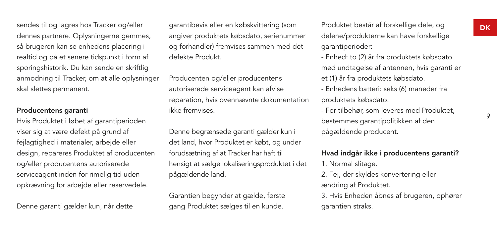sendes til og lagres hos Tracker og/eller dennes partnere. Oplysningerne gemmes, så brugeren kan se enhedens placering i realtid og på et senere tidspunkt i form af sporingshistorik. Du kan sende en skriftlig anmodning til Tracker, om at alle oplysninger skal slettes permanent.

#### Producentens garanti

Hvis Produktet i løbet af garantiperioden viser sig at være defekt på grund af fejlagtighed i materialer, arbejde eller design, repareres Produktet af producenten og/eller producentens autoriserede serviceagent inden for rimelig tid uden opkrævning for arbejde eller reservedele.

Denne garanti gælder kun, når dette

garantibevis eller en købskvittering (som angiver produktets købsdato, serienummer og forhandler) fremvises sammen med det defekte Produkt.

Producenten og/eller producentens autoriserede serviceagent kan afvise reparation, hvis ovennævnte dokumentation ikke fremvises.

Denne begrænsede garanti gælder kun i det land, hvor Produktet er købt, og under forudsætning af at Tracker har haft til hensigt at sælge lokaliseringsproduktet i det pågældende land.

Garantien begynder at gælde, første gang Produktet sælges til en kunde.

Produktet består af forskellige dele, og delene/produkterne kan have forskellige garantiperioder:

- Enhed: to (2) år fra produktets købsdato med undtagelse af antennen, hvis garanti er et (1) år fra produktets købsdato.

- Enhedens batteri: seks (6) måneder fra produktets købsdato.

- For tilbehør, som leveres med Produktet, bestemmes garantipolitikken af den pågældende producent.

#### Hvad indgår ikke i producentens garanti?

1. Normal slitage.

- 2. Fej, der skyldes konvertering eller ændring af Produktet.
- 3. Hvis Enheden åbnes af brugeren, ophører garantien straks.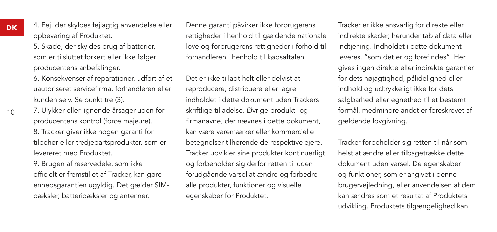5. Skade, der skyldes brug af batterier, som er tilsluttet forkert eller ikke følger producentens anbefalinger.

6. Konsekvenser af reparationer, udført af et uautoriseret servicefirma, forhandleren eller kunden selv. Se punkt tre (3).

7. Ulykker eller lignende årsager uden for producentens kontrol (force majeure). 8. Tracker giver ikke nogen garanti for tilbehør eller tredjepartsprodukter, som er levereret med Produktet.

9. Brugen af reservedele, som ikke officielt er fremstillet af Tracker, kan gøre enhedsgarantien ugyldig. Det gælder SIMdæksler, batteridæksler og antenner.

DK 4. Fej, der skyldes fejlagtig anvendelse eller Denne garanti påvirker ikke forbrugerens Tracker er ikke ansvarlig for direkte eller Denne garanti påvirker ikke forbrugerens rettigheder i henhold til gældende nationale love og forbrugerens rettigheder i forhold til forhandleren i henhold til købsaftalen.

> Det er ikke tilladt helt eller delvist at reproducere, distribuere eller lagre indholdet i dette dokument uden Trackers skriftlige tilladelse. Øvrige produkt- og firmanavne, der nævnes i dette dokument, kan være varemærker eller kommercielle betegnelser tilhørende de respektive ejere. Tracker udvikler sine produkter kontinuerligt og forbeholder sig derfor retten til uden forudgående varsel at ændre og forbedre alle produkter, funktioner og visuelle egenskaber for Produktet.

indirekte skader, herunder tab af data eller indtiening. Indholdet i dette dokument leveres, "som det er og forefindes". Her gives ingen direkte eller indirekte garantier for dets nøjagtighed, pålidelighed eller indhold og udtrykkeligt ikke for dets salgbarhed eller egnethed til et bestemt formål, medmindre andet er foreskrevet af gældende lovgivning.

Tracker forbeholder sig retten til når som helst at ændre eller tilbagetrække dette dokument uden varsel. De egenskaber og funktioner, som er angivet i denne brugervejledning, eller anvendelsen af dem kan ændres som et resultat af Produktets udvikling. Produktets tilgængelighed kan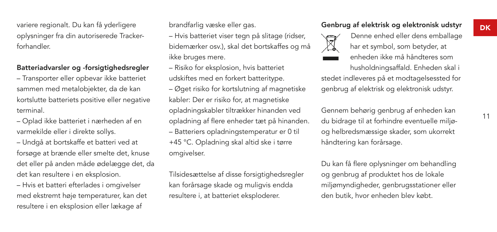variere regionalt. Du kan få yderligere light offendralig væske eller gas. I light til <mark>Genbrug af elektrisk og elektronisk udstyr light</mark> oplysninger fra din autoriserede Trackerforhandler.

#### Batteriadvarsler og -forsigtighedsregler

– Transporter eller opbevar ikke batteriet sammen med metalobjekter, da de kan kortslutte batteriets positive eller negative terminal.

– Oplad ikke batteriet i nærheden af en varmekilde eller i direkte sollys.

– Undgå at bortskaffe et batteri ved at forsøge at brænde eller smelte det, knuse det eller på anden måde ødelægge det, da det kan resultere i en eksplosion.

– Hvis et batteri efterlades i omgivelser med ekstremt høje temperaturer, kan det resultere i en eksplosion eller lækage af

brandfarlig væske eller gas.

– Hvis batteriet viser tegn på slitage (ridser, bidemærker osv.), skal det bortskaffes og må ikke bruges mere.

– Risiko for eksplosion, hvis batteriet udskiftes med en forkert batteritype.

– Øget risiko for kortslutning af magnetiske kabler: Der er risiko for, at magnetiske opladningskabler tiltrækker hinanden ved opladning af flere enheder tæt på hinanden. – Batteriers opladningstemperatur er 0 til +45 °C. Opladning skal altid ske i tørre omgivelser.

Tilsidesættelse af disse forsigtighedsregler kan forårsage skade og muligvis endda resultere i, at batteriet eksploderer.

Denne enhed eller dens emballage har et symbol, som betyder, at enheden ikke må håndteres som husholdningsaffald. Enheden skal i stedet indleveres på et modtagelsessted for genbrug af elektrisk og elektronisk udstyr.

Gennem behørig genbrug af enheden kan du bidrage til at forhindre eventuelle miljøog helbredsmæssige skader, som ukorrekt håndtering kan forårsage.

Du kan få flere oplysninger om behandling og genbrug af produktet hos de lokale miljømyndigheder, genbrugsstationer eller den butik, hvor enheden blev købt.

11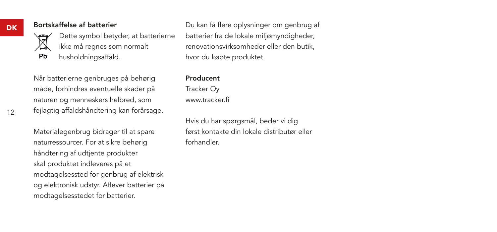#### **DK** Bortskaffelse af batterier



 Dette symbol betyder, at batterierne ikke må regnes som normalt husholdningsaffald.

Når batterierne genbruges på behørig måde, forhindres eventuelle skader på naturen og menneskers helbred, som fejlagtig affaldshåndtering kan forårsage.

Materialegenbrug bidrager til at spare naturressourcer. For at sikre behørig håndtering af udtjente produkter skal produktet indleveres på et modtagelsessted for genbrug af elektrisk og elektronisk udstyr. Aflever batterier på modtagelsesstedet for batterier.

Du kan få flere oplysninger om genbrug af batterier fra de lokale miljømyndigheder, renovationsvirksomheder eller den butik, hvor du købte produktet.

#### Producent

Tracker Oy www.tracker.fi

Hvis du har spørgsmål, beder vi dig først kontakte din lokale distributør eller forhandler.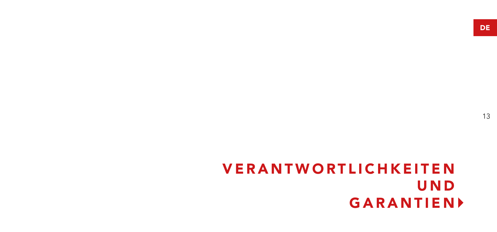#### DK DE

### **VERANTWORTLICHKEITEN** U N D **GARANTIEN**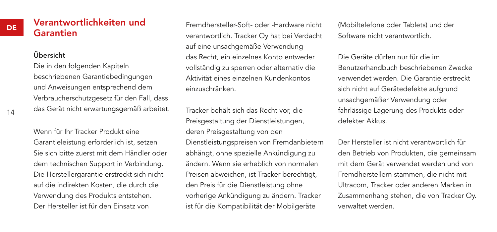#### DE Verantwortlichkeiten und Garantien

#### Übersicht

Die in den folgenden Kapiteln beschriebenen Garantiebedingungen und Anweisungen entsprechend dem Verbraucherschutzgesetz für den Fall, dass das Gerät nicht erwartungsgemäß arbeitet.

Wenn für Ihr Tracker Produkt eine Garantieleistung erforderlich ist, setzen Sie sich bitte zuerst mit dem Händler oder dem technischen Support in Verbindung. Die Herstellergarantie erstreckt sich nicht auf die indirekten Kosten, die durch die Verwendung des Produkts entstehen. Der Hersteller ist für den Einsatz von

Fremdhersteller-Soft- oder -Hardware nicht verantwortlich. Tracker Oy hat bei Verdacht auf eine unsachgemäße Verwendung das Recht, ein einzelnes Konto entweder vollständig zu sperren oder alternativ die Aktivität eines einzelnen Kundenkontos einzuschränken.

Tracker behält sich das Recht vor, die Preisgestaltung der Dienstleistungen, deren Preisgestaltung von den Dienstleistungspreisen von Fremdanbietern abhängt, ohne spezielle Ankündigung zu ändern. Wenn sie erheblich von normalen Preisen abweichen, ist Tracker berechtigt, den Preis für die Dienstleistung ohne vorherige Ankündigung zu ändern. Tracker ist für die Kompatibilität der Mobilgeräte

(Mobiltelefone oder Tablets) und der Software nicht verantwortlich.

Die Geräte dürfen nur für die im Benutzerhandbuch beschriebenen Zwecke verwendet werden. Die Garantie erstreckt sich nicht auf Gerätedefekte aufgrund unsachgemäßer Verwendung oder fahrlässige Lagerung des Produkts oder defekter Akkus.

Der Hersteller ist nicht verantwortlich für den Betrieb von Produkten, die gemeinsam mit dem Gerät verwendet werden und von Fremdherstellern stammen, die nicht mit Ultracom, Tracker oder anderen Marken in Zusammenhang stehen, die von Tracker Oy. verwaltet werden.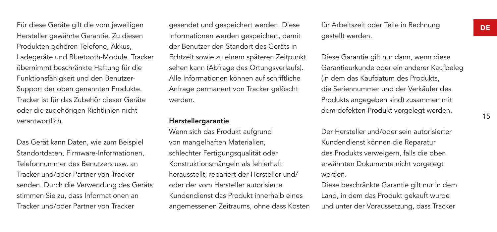Hersteller gewährte Garantie. Zu diesen Produkten gehören Telefone, Akkus, Ladegeräte und Bluetooth-Module. Tracker übernimmt beschränkte Haftung für die Funktionsfähigkeit und den Benutzer-Support der oben genannten Produkte. Tracker ist für das Zubehör dieser Geräte oder die zugehörigen Richtlinien nicht verantwortlich.

Das Gerät kann Daten, wie zum Beispiel Standortdaten, Firmware-Informationen, Telefonnummer des Benutzers usw. an Tracker und/oder Partner von Tracker senden. Durch die Verwendung des Geräts stimmen Sie zu, dass Informationen an Tracker und/oder Partner von Tracker

Für diese Geräte gilt die vom jeweiligen og esendet und gespeichert werden. Diese für Arbeitszeit oder Teile in Rechnung og DE Informationen werden gespeichert, damit der Benutzer den Standort des Geräts in Echtzeit sowie zu einem späteren Zeitpunkt sehen kann (Abfrage des Ortungsverlaufs). Alle Informationen können auf schriftliche Anfrage permanent von Tracker gelöscht werden.

#### Herstellergarantie

Wenn sich das Produkt aufgrund von mangelhaften Materialien, schlechter Fertigungsqualität oder Konstruktionsmängeln als fehlerhaft herausstellt, repariert der Hersteller und/ oder der vom Hersteller autorisierte Kundendienst das Produkt innerhalb eines angemessenen Zeitraums, ohne dass Kosten für Arbeitszeit oder Teile in Rechnung gestellt werden.

Diese Garantie gilt nur dann, wenn diese Garantieurkunde oder ein anderer Kaufbeleg (in dem das Kaufdatum des Produkts, die Seriennummer und der Verkäufer des Produkts angegeben sind) zusammen mit dem defekten Produkt vorgelegt werden.

Der Hersteller und/oder sein autorisierter Kundendienst können die Reparatur des Produkts verweigern, falls die oben erwähnten Dokumente nicht vorgelegt werden.

Diese beschränkte Garantie gilt nur in dem Land, in dem das Produkt gekauft wurde und unter der Voraussetzung, dass Tracker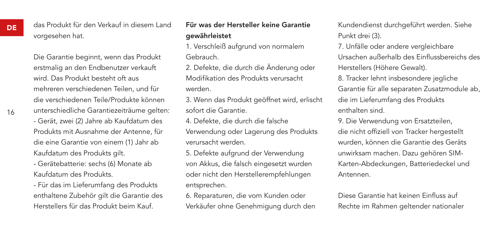das Produkt für den Verkauf in diesem Land vorgesehen hat.

Die Garantie beginnt, wenn das Produkt erstmalig an den Endbenutzer verkauft wird. Das Produkt besteht oft aus mehreren verschiedenen Teilen, und für die verschiedenen Teile/Produkte können unterschiedliche Garantiezeiträume gelten: - Gerät, zwei (2) Jahre ab Kaufdatum des Produkts mit Ausnahme der Antenne, für die eine Garantie von einem (1) Jahr ab Kaufdatum des Produkts gilt.

- Gerätebatterie: sechs (6) Monate ab Kaufdatum des Produkts.

- Für das im Lieferumfang des Produkts enthaltene Zubehör gilt die Garantie des Herstellers für das Produkt beim Kauf.

#### Für was der Hersteller keine Garantie gewährleistet

1. Verschleiß aufgrund von normalem Gebrauch.

2. Defekte, die durch die Änderung oder Modifikation des Produkts verursacht werden.

3. Wenn das Produkt geöffnet wird, erlischt sofort die Garantie.

4. Defekte, die durch die falsche Verwendung oder Lagerung des Produkts verursacht werden.

5. Defekte aufgrund der Verwendung von Akkus, die falsch eingesetzt wurden oder nicht den Herstellerempfehlungen entsprechen.

6. Reparaturen, die vom Kunden oder Verkäufer ohne Genehmigung durch den

DE das Produkt für den Verkauf in diesem Land **Für was der Hersteller keine Garantie** Kundendienst durchgeführt werden. Siehe Punkt drei (3).

> 7. Unfälle oder andere vergleichbare Ursachen außerhalb des Einflussbereichs des Herstellers (Höhere Gewalt).

> 8. Tracker lehnt insbesondere jegliche Garantie für alle separaten Zusatzmodule ab, die im Lieferumfang des Produkts enthalten sind.

9. Die Verwendung von Ersatzteilen, die nicht offiziell von Tracker hergestellt wurden, können die Garantie des Geräts unwirksam machen. Dazu gehören SIM-Karten-Abdeckungen, Batteriedeckel und Antennen.

Diese Garantie hat keinen Einfluss auf Rechte im Rahmen geltender nationaler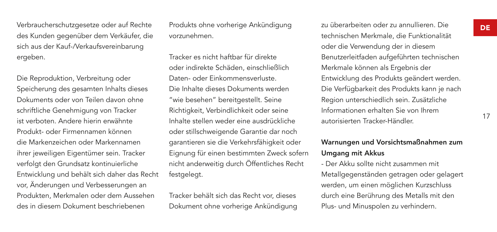des Kunden gegenüber dem Verkäufer, die sich aus der Kauf-/Verkaufsvereinbarung ergeben.

Die Reproduktion, Verbreitung oder Speicherung des gesamten Inhalts dieses Dokuments oder von Teilen davon ohne schriftliche Genehmigung von Tracker ist verboten. Andere hierin erwähnte Produkt- oder Firmennamen können die Markenzeichen oder Markennamen ihrer jeweiligen Eigentümer sein. Tracker verfolgt den Grundsatz kontinuierliche Entwicklung und behält sich daher das Recht vor, Änderungen und Verbesserungen an Produkten, Merkmalen oder dem Aussehen des in diesem Dokument beschriebenen

vorzunehmen.

Tracker es nicht haftbar für direkte oder indirekte Schäden, einschließlich Daten- oder Einkommensverluste. Die Inhalte dieses Dokuments werden "wie besehen" bereitgestellt. Seine Richtigkeit, Verbindlichkeit oder seine Inhalte stellen weder eine ausdrückliche oder stillschweigende Garantie dar noch garantieren sie die Verkehrsfähigkeit oder Eignung für einen bestimmten Zweck sofern nicht anderweitig durch Öffentliches Recht festgelegt.

Tracker behält sich das Recht vor, dieses Dokument ohne vorherige Ankündigung

Verbraucherschutzgesetze oder auf Rechte Merdukts ohne vorherige Ankündigung var zu überarbeiten oder zu annullieren. Die **DE** zu überarbeiten oder zu annullieren. Die technischen Merkmale, die Funktionalität oder die Verwendung der in diesem Benutzerleitfaden aufgeführten technischen Merkmale können als Ergebnis der Entwicklung des Produkts geändert werden. Die Verfügbarkeit des Produkts kann je nach Region unterschiedlich sein. Zusätzliche Informationen erhalten Sie von Ihrem autorisierten Tracker-Händler.

#### Warnungen und Vorsichtsmaßnahmen zum Umgang mit Akkus

- Der Akku sollte nicht zusammen mit Metallgegenständen getragen oder gelagert werden, um einen möglichen Kurzschluss durch eine Berührung des Metalls mit den Plus- und Minuspolen zu verhindern.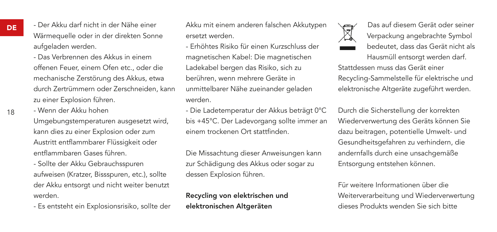- 
- Der Akku darf nicht in der Nähe einer Wärmequelle oder in der direkten Sonne aufgeladen werden.
- Das Verbrennen des Akkus in einem offenen Feuer, einem Ofen etc., oder die mechanische Zerstörung des Akkus, etwa durch Zertrümmern oder Zerschneiden, kann zu einer Explosion führen.
- 18
- Wenn der Akku hohen
- Umgebungstemperaturen ausgesetzt wird, kann dies zu einer Explosion oder zum Austritt entflammbarer Flüssigkeit oder entflammbaren Gases führen.
- Sollte der Akku Gebrauchsspuren aufweisen (Kratzer, Bissspuren, etc.), sollte der Akku entsorgt und nicht weiter benutzt werden.
- Es entsteht ein Explosionsrisiko, sollte der

DE Das auf diesem Gerät oder seiner Akku mit einem anderen falschen Akkutypen ersetzt werden.

> - Erhöhtes Risiko für einen Kurzschluss der magnetischen Kabel: Die magnetischen Ladekabel bergen das Risiko, sich zu berühren, wenn mehrere Geräte in unmittelbarer Nähe zueinander geladen werden.

- Die Ladetemperatur der Akkus beträgt 0°C bis +45°C. Der Ladevorgang sollte immer an einem trockenen Ort stattfinden.

Die Missachtung dieser Anweisungen kann zur Schädigung des Akkus oder sogar zu dessen Explosion führen.

Recycling von elektrischen und elektronischen Altgeräten



Verpackung angebrachte Symbol bedeutet, dass das Gerät nicht als Hausmüll entsorgt werden darf. Stattdessen muss das Gerät einer

Recycling-Sammelstelle für elektrische und elektronische Altgeräte zugeführt werden.

Durch die Sicherstellung der korrekten Wiederverwertung des Geräts können Sie dazu beitragen, potentielle Umwelt- und Gesundheitsgefahren zu verhindern, die andernfalls durch eine unsachgemäße Entsorgung entstehen können.

Für weitere Informationen über die Weiterverarbeitung und Wiederverwertung dieses Produkts wenden Sie sich bitte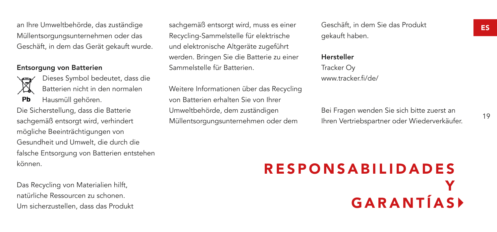an Ihre Umweltbehörde, das zuständige sachgemäß entsorgt wird, muss es einer Geschäft, in dem Sie das Produkt Müllentsorgungsunternehmen oder das Geschäft, in dem das Gerät gekauft wurde.

#### Entsorgung von Batterien



 Dieses Symbol bedeutet, dass die Batterien nicht in den normalen Hausmüll gehören.

Die Sicherstellung, dass die Batterie sachgemäß entsorgt wird, verhindert mögliche Beeinträchtigungen von Gesundheit und Umwelt, die durch die falsche Entsorgung von Batterien entstehen können.

Das Recycling von Materialien hilft, natürliche Ressourcen zu schonen. Um sicherzustellen, dass das Produkt sachgemäß entsorgt wird, muss es einer Recycling-Sammelstelle für elektrische und elektronische Altgeräte zugeführt werden. Bringen Sie die Batterie zu einer Sammelstelle für Batterien.

Weitere Informationen über das Recycling von Batterien erhalten Sie von Ihrer Umweltbehörde, dem zuständigen Müllentsorgungsunternehmen oder dem

Geschäft, in dem Sie das Produkt gekauft haben.

Hersteller Tracker Oy www.tracker.fi/de/

Bei Fragen wenden Sie sich bitte zuerst an Ihren Vertriebspartner oder Wiederverkäufer.

### RESPONSABILIDADES Y  $G$  A R A N T  $(AS)$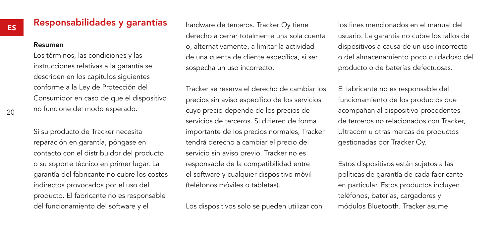#### Es Responsabilidades y garantías

#### Resumen

Los términos, las condiciones y las instrucciones relativas a la garantía se describen en los capítulos siguientes conforme a la Ley de Protección del Consumidor en caso de que el dispositivo no funcione del modo esperado.

Si su producto de Tracker necesita reparación en garantía, póngase en contacto con el distribuidor del producto o su soporte técnico en primer lugar. La garantía del fabricante no cubre los costes indirectos provocados por el uso del producto. El fabricante no es responsable del funcionamiento del software y el

hardware de terceros. Tracker Oy tiene derecho a cerrar totalmente una sola cuenta o, alternativamente, a limitar la actividad de una cuenta de cliente específica, si ser sospecha un uso incorrecto.

Tracker se reserva el derecho de cambiar los precios sin aviso específico de los servicios cuyo precio depende de los precios de servicios de terceros. Si difieren de forma importante de los precios normales, Tracker tendrá derecho a cambiar el precio del servicio sin aviso previo. Tracker no es responsable de la compatibilidad entre el software y cualquier dispositivo móvil (teléfonos móviles o tabletas).

Los dispositivos solo se pueden utilizar con

los fines mencionados en el manual del usuario. La garantía no cubre los fallos de dispositivos a causa de un uso incorrecto o del almacenamiento poco cuidadoso del producto o de baterías defectuosas.

El fabricante no es responsable del funcionamiento de los productos que acompañan al dispositivo procedentes de terceros no relacionados con Tracker, Ultracom u otras marcas de productos gestionadas por Tracker Oy.

Estos dispositivos están sujetos a las políticas de garantía de cada fabricante en particular. Estos productos incluyen teléfonos, baterías, cargadores y módulos Bluetooth. Tracker asume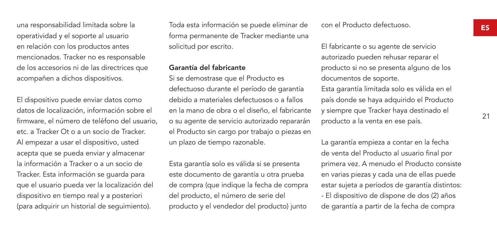operatividad y el soporte al usuario en relación con los productos antes mencionados. Tracker no es responsable de los accesorios ni de las directrices que acompañen a dichos dispositivos.

El dispositivo puede enviar datos como datos de localización, información sobre el firmware, el número de teléfono del usuario, etc. a Tracker Ot o a un socio de Tracker. Al empezar a usar el dispositivo, usted acepta que se pueda enviar y almacenar la información a Tracker o a un socio de Tracker. Esta información se guarda para que el usuario pueda ver la localización del dispositivo en tiempo real y a posteriori (para adquirir un historial de seguimiento).

una responsabilidad limitada sobre la composita del meta información se puede eliminar de con el Producto defectuoso. forma permanente de Tracker mediante una solicitud por escrito.

#### Garantía del fabricante

Si se demostrase que el Producto es defectuoso durante el período de garantía debido a materiales defectuosos o a fallos en la mano de obra o el diseño, el fabricante o su agente de servicio autorizado repararán el Producto sin cargo por trabajo o piezas en un plazo de tiempo razonable.

Esta garantía solo es válida si se presenta este documento de garantía u otra prueba de compra (que indique la fecha de compra del producto, el número de serie del producto y el vendedor del producto) junto con el Producto defectuoso.

El fabricante o su agente de servicio autorizado pueden rehusar reparar el producto si no se presenta alguno de los documentos de soporte.

Esta garantía limitada solo es válida en el país donde se haya adquirido el Producto y siempre que Tracker haya destinado el producto a la venta en ese país.

La garantía empieza a contar en la fecha de venta del Producto al usuario final por primera vez. A menudo el Producto consiste en varias piezas y cada una de ellas puede estar sujeta a períodos de garantía distintos: - El dispositivo de dispone de dos (2) años de garantía a partir de la fecha de compra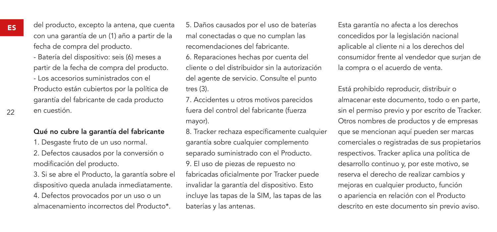Es del producto, excepto la antena, que cuenta 5. Daños causados por el uso de baterías Esta garantía no afecta a los derechos con una garantía de un (1) año a partir de la fecha de compra del producto.

- Batería del dispositivo: seis (6) meses a partir de la fecha de compra del producto. - Los accesorios suministrados con el Producto están cubiertos por la política de garantía del fabricante de cada producto en cuestión.

#### Qué no cubre la garantía del fabricante

1. Desgaste fruto de un uso normal. 2. Defectos causados por la conversión o modificación del producto.

3. Si se abre el Producto, la garantía sobre el dispositivo queda anulada inmediatamente. 4. Defectos provocados por un uso o un almacenamiento incorrectos del Producto\*.

5. Daños causados por el uso de baterías mal conectadas o que no cumplan las recomendaciones del fabricante.

6. Reparaciones hechas por cuenta del cliente o del distribuidor sin la autorización del agente de servicio. Consulte el punto tres (3).

7. Accidentes u otros motivos parecidos fuera del control del fabricante (fuerza mayor).

8. Tracker rechaza específicamente cualquier garantía sobre cualquier complemento separado suministrado con el Producto. 9. El uso de piezas de repuesto no fabricadas oficialmente por Tracker puede invalidar la garantía del dispositivo. Esto incluye las tapas de la SIM, las tapas de las baterías y las antenas.

concedidos por la legislación nacional aplicable al cliente ni a los derechos del consumidor frente al vendedor que surjan de la compra o el acuerdo de venta.

Está prohibido reproducir, distribuir o almacenar este documento, todo o en parte, sin el permiso previo y por escrito de Tracker. Otros nombres de productos y de empresas que se mencionan aquí pueden ser marcas comerciales o registradas de sus propietarios respectivos. Tracker aplica una política de desarrollo continuo y, por este motivo, se reserva el derecho de realizar cambios y mejoras en cualquier producto, función o apariencia en relación con el Producto descrito en este documento sin previo aviso.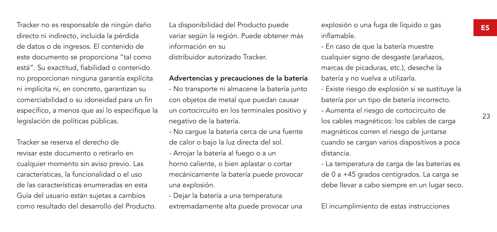Tracker no es responsable de ningún daño la disponibilidad del Producto puede la explosión o una fuga de líquido o gas la <mark>es</mark> directo ni indirecto, incluida la pérdida de datos o de ingresos. El contenido de este documento se proporciona "tal como está". Su exactitud, fiabilidad o contenido no proporcionan ninguna garantía explícita ni implícita ni, en concreto, garantizan su comerciabilidad o su idoneidad para un fin específico, a menos que así lo especifique la legislación de políticas públicas.

Tracker se reserva el derecho de revisar este documento o retirarlo en cualquier momento sin aviso previo. Las características, la funcionalidad o el uso de las características enumeradas en esta Guía del usuario están sujetas a cambios como resultado del desarrollo del Producto. variar según la región. Puede obtener más información en su distribuidor autorizado Tracker.

#### Advertencias y precauciones de la batería

- No transporte ni almacene la batería junto con objetos de metal que puedan causar un cortocircuito en los terminales positivo y negativo de la batería.

- No cargue la batería cerca de una fuente de calor o bajo la luz directa del sol. - Arrojar la batería al fuego o a un horno caliente, o bien aplastar o cortar mecánicamente la batería puede provocar una explosión.

- Dejar la batería a una temperatura extremadamente alta puede provocar una explosión o una fuga de líquido o gas inflamable.

- En caso de que la batería muestre cualquier signo de desgaste (arañazos, marcas de picaduras, etc.), deseche la batería y no vuelva a utilizarla.

- Existe riesgo de explosión si se sustituye la batería por un tipo de batería incorrecto. - Aumenta el riesgo de cortocircuito de los cables magnéticos: los cables de carga magnéticos corren el riesgo de juntarse cuando se cargan varios dispositivos a poca distancia.

- La temperatura de carga de las baterías es de 0 a +45 grados centígrados. La carga se debe llevar a cabo siempre en un lugar seco.

El incumplimiento de estas instrucciones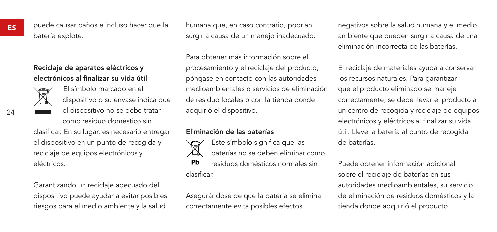ES de puede causar daños e incluso hacer que la de humana que, en caso contrario, podrían de solo antigada e to batería explote.

#### Reciclaje de aparatos eléctricos y electrónicos al finalizar su vida útil



 El símbolo marcado en el dispositivo o su envase indica que el dispositivo no se debe tratar como residuo doméstico sin clasificar. En su lugar, es necesario entregar el dispositivo en un punto de recogida y

reciclaje de equipos electrónicos y eléctricos.

Garantizando un reciclaje adecuado del dispositivo puede ayudar a evitar posibles riesgos para el medio ambiente y la salud

surgir a causa de un manejo inadecuado.

Para obtener más información sobre el procesamiento y el reciclaje del producto, póngase en contacto con las autoridades medioambientales o servicios de eliminación de residuo locales o con la tienda donde adquirió el dispositivo.

#### Eliminación de las baterías



Asegurándose de que la batería se elimina correctamente evita posibles efectos

negativos sobre la salud humana y el medio ambiente que pueden surgir a causa de una eliminación incorrecta de las baterías.

El reciclaje de materiales ayuda a conservar los recursos naturales. Para garantizar que el producto eliminado se maneje correctamente, se debe llevar el producto a un centro de recogida y reciclaje de equipos electrónicos y eléctricos al finalizar su vida útil. Lleve la batería al punto de recogida de baterías.

Puede obtener información adicional sobre el reciclaje de baterías en sus autoridades medioambientales, su servicio de eliminación de residuos domésticos y la tienda donde adquirió el producto.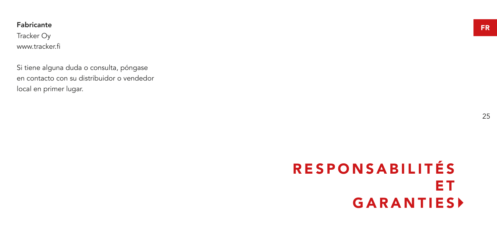#### Fabricante

Tracker Oy www.tracker.fi

Si tiene alguna duda o consulta, póngase en contacto con su distribuidor o vendedor local en primer lugar.

# **RESPONSABILITÉS** E T **GARANTIES**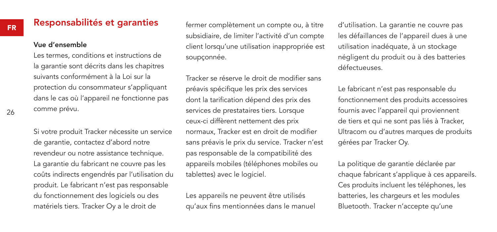#### **FR** Responsabilités et garanties

#### Vue d'ensemble

Les termes, conditions et instructions de la garantie sont décrits dans les chapitres suivants conformément à la Loi sur la protection du consommateur s'appliquant dans le cas où l'appareil ne fonctionne pas comme prévu.

Si votre produit Tracker nécessite un service de garantie, contactez d'abord notre revendeur ou notre assistance technique. La garantie du fabricant ne couvre pas les coûts indirects engendrés par l'utilisation du produit. Le fabricant n'est pas responsable du fonctionnement des logiciels ou des matériels tiers. Tracker Oy a le droit de

fermer complètement un compte ou, à titre subsidiaire, de limiter l'activité d'un compte client lorsqu'une utilisation inappropriée est soupçonnée.

Tracker se réserve le droit de modifier sans préavis spécifique les prix des services dont la tarification dépend des prix des services de prestataires tiers. Lorsque ceux-ci diffèrent nettement des prix normaux, Tracker est en droit de modifier sans préavis le prix du service. Tracker n'est pas responsable de la compatibilité des appareils mobiles (téléphones mobiles ou tablettes) avec le logiciel.

Les appareils ne peuvent être utilisés qu'aux fins mentionnées dans le manuel d'utilisation. La garantie ne couvre pas les défaillances de l'appareil dues à une utilisation inadéquate, à un stockage négligent du produit ou à des batteries défectueuses.

Le fabricant n'est pas responsable du fonctionnement des produits accessoires fournis avec l'appareil qui proviennent de tiers et qui ne sont pas liés à Tracker, Ultracom ou d'autres marques de produits gérées par Tracker Oy.

La politique de garantie déclarée par chaque fabricant s'applique à ces appareils. Ces produits incluent les téléphones, les batteries, les chargeurs et les modules Bluetooth. Tracker n'accepte qu'une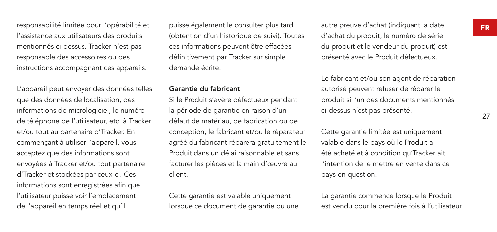responsabilité limitée pour l'opérabilité et puisse également le consulter plus tard autre preuve d'achat (indiquant la date l'assistance aux utilisateurs des produits mentionnés ci-dessus. Tracker n'est pas responsable des accessoires ou des instructions accompagnant ces appareils.

L'appareil peut envoyer des données telles que des données de localisation, des informations de micrologiciel, le numéro de téléphone de l'utilisateur, etc. à Tracker et/ou tout au partenaire d'Tracker. En commençant à utiliser l'appareil, vous acceptez que des informations sont envoyées à Tracker et/ou tout partenaire d'Tracker et stockées par ceux-ci. Ces informations sont enregistrées afin que l'utilisateur puisse voir l'emplacement de l'appareil en temps réel et qu'il

puisse également le consulter plus tard (obtention d'un historique de suivi). Toutes ces informations peuvent être effacées définitivement par Tracker sur simple demande écrite.

#### Garantie du fabricant

Si le Produit s'avère défectueux pendant la période de garantie en raison d'un défaut de matériau, de fabrication ou de conception, le fabricant et/ou le réparateur agréé du fabricant réparera gratuitement le Produit dans un délai raisonnable et sans facturer les pièces et la main d'œuvre au client.

Cette garantie est valable uniquement lorsque ce document de garantie ou une autre preuve d'achat (indiquant la date d'achat du produit, le numéro de série du produit et le vendeur du produit) est présenté avec le Produit défectueux.

Le fabricant et/ou son agent de réparation autorisé peuvent refuser de réparer le produit si l'un des documents mentionnés ci-dessus n'est pas présenté.

Cette garantie limitée est uniquement valable dans le pays où le Produit a été acheté et à condition qu'Tracker ait l'intention de le mettre en vente dans ce pays en question.

La garantie commence lorsque le Produit est vendu pour la première fois à l'utilisateur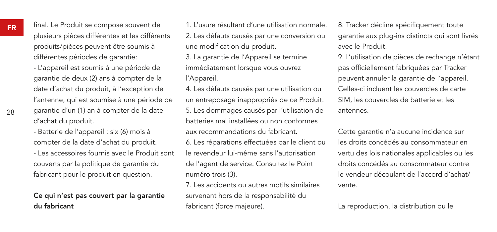plusieurs pièces différentes et les différents produits/pièces peuvent être soumis à différentes périodes de garantie:

- L'appareil est soumis à une période de garantie de deux (2) ans à compter de la date d'achat du produit, à l'exception de l'antenne, qui est soumise à une période de garantie d'un (1) an à compter de la date d'achat du produit.

- Batterie de l'appareil : six (6) mois à compter de la date d'achat du produit. - Les accessoires fournis avec le Produit sont couverts par la politique de garantie du fabricant pour le produit en question.

#### Ce qui n'est pas couvert par la garantie du fabricant

**FR** final. Le Produit se compose souvent de 1. L'usure résultant d'une utilisation normale. 8. Tracker décline spécifiquement toute 1. L'usure résultant d'une utilisation normale. 2. Les défauts causés par une conversion ou une modification du produit.

> 3. La garantie de l'Appareil se termine immédiatement lorsque vous ouvrez l'Appareil.

4. Les défauts causés par une utilisation ou un entreposage inappropriés de ce Produit. 5. Les dommages causés par l'utilisation de batteries mal installées ou non conformes aux recommandations du fabricant.

6. Les réparations effectuées par le client ou le revendeur lui-même sans l'autorisation de l'agent de service. Consultez le Point numéro trois (3).

7. Les accidents ou autres motifs similaires survenant hors de la responsabilité du fabricant (force majeure).

garantie aux plug-ins distincts qui sont livrés avec le Produit.

9. L'utilisation de pièces de rechange n'étant pas officiellement fabriquées par Tracker peuvent annuler la garantie de l'appareil. Celles-ci incluent les couvercles de carte SIM, les couvercles de batterie et les antennes.

Cette garantie n'a aucune incidence sur les droits concédés au consommateur en vertu des lois nationales applicables ou les droits concédés au consommateur contre le vendeur découlant de l'accord d'achat/ vente.

La reproduction, la distribution ou le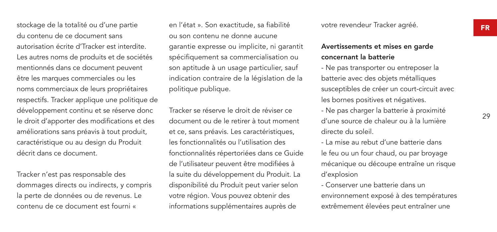stockage de la totalité ou d'une partie du contenu de ce document sans autorisation écrite d'Tracker est interdite. Les autres noms de produits et de sociétés mentionnés dans ce document peuvent être les marques commerciales ou les noms commerciaux de leurs propriétaires respectifs. Tracker applique une politique de développement continu et se réserve donc le droit d'apporter des modifications et des améliorations sans préavis à tout produit, caractéristique ou au design du Produit décrit dans ce document.

Tracker n'est pas responsable des dommages directs ou indirects, y compris la perte de données ou de revenus. Le contenu de ce document est fourni «

en l'état ». Son exactitude, sa fiabilité ou son contenu ne donne aucune garantie expresse ou implicite, ni garantit spécifiquement sa commercialisation ou son aptitude à un usage particulier, sauf indication contraire de la législation de la politique publique.

Tracker se réserve le droit de réviser ce document ou de le retirer à tout moment et ce, sans préavis. Les caractéristiques, les fonctionnalités ou l'utilisation des fonctionnalités répertoriées dans ce Guide de l'utilisateur peuvent être modifiées à la suite du développement du Produit. La disponibilité du Produit peut varier selon votre région. Vous pouvez obtenir des informations supplémentaires auprès de

votre revendeur Tracker agréé.

#### Avertissements et mises en garde concernant la batterie

- Ne pas transporter ou entreposer la batterie avec des objets métalliques susceptibles de créer un court-circuit avec les bornes positives et négatives.

- Ne pas charger la batterie à proximité d'une source de chaleur ou à la lumière directe du soleil.

- La mise au rebut d'une batterie dans le feu ou un four chaud, ou par broyage mécanique ou découpe entraîne un risque d'explosion

- Conserver une batterie dans un environnement exposé à des températures extrêmement élevées peut entraîner une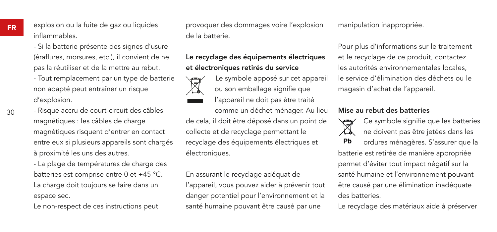inflammables.

- Si la batterie présente des signes d'usure (éraflures, morsures, etc.), il convient de ne pas la réutiliser et de la mettre au rebut.

- Tout remplacement par un type de batterie non adapté peut entraîner un risque d'explosion.

- Risque accru de court-circuit des câbles magnétiques : les câbles de charge magnétiques risquent d'entrer en contact entre eux si plusieurs appareils sont chargés à proximité les uns des autres.

- La plage de températures de charge des batteries est comprise entre 0 et +45 °C. La charge doit toujours se faire dans un espace sec.

Le non-respect de ces instructions peut

**FR** explosion ou la fuite de gaz ou liquides provoquer des dommages voire l'explosion manipulation inappropriée. provoquer des dommages voire l'explosion de la batterie.

#### Le recyclage des équipements électriques et électroniques retirés du service

Le symbole apposé sur cet appareil ou son emballage signifie que l'appareil ne doit pas être traité comme un déchet ménager. Au lieu de cela, il doit être déposé dans un point de collecte et de recyclage permettant le recyclage des équipements électriques et électroniques.

En assurant le recyclage adéquat de l'appareil, vous pouvez aider à prévenir tout danger potentiel pour l'environnement et la santé humaine pouvant être causé par une

Pour plus d'informations sur le traitement et le recyclage de ce produit, contactez les autorités environnementales locales, le service d'élimination des déchets ou le magasin d'achat de l'appareil.

#### Mise au rebut des batteries

 Ce symbole signifie que les batteries ne doivent pas être jetées dans les Pb ordures ménagères. S'assurer que la batterie est retirée de manière appropriée permet d'éviter tout impact négatif sur la santé humaine et l'environnement pouvant être causé par une élimination inadéquate des batteries.

Le recyclage des matériaux aide à préserver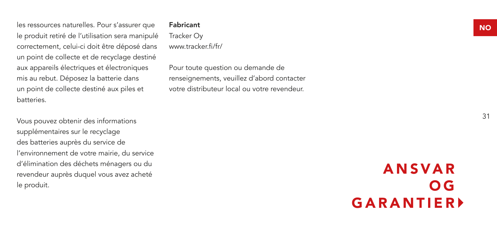les ressources naturelles. Pour s'assurer que le produit retiré de l'utilisation sera manipulé correctement, celui-ci doit être déposé dans un point de collecte et de recyclage destiné aux appareils électriques et électroniques mis au rebut. Déposez la batterie dans un point de collecte destiné aux piles et batteries.

Vous pouvez obtenir des informations supplémentaires sur le recyclage des batteries auprès du service de l'environnement de votre mairie, du service d'élimination des déchets ménagers ou du revendeur auprès duquel vous avez acheté le produit.

#### Fabricant

Tracker Oy www.tracker.fi/fr/

Pour toute question ou demande de renseignements, veuillez d'abord contacter votre distributeur local ou votre revendeur.

### A N S VA R O G GARANTIER**>**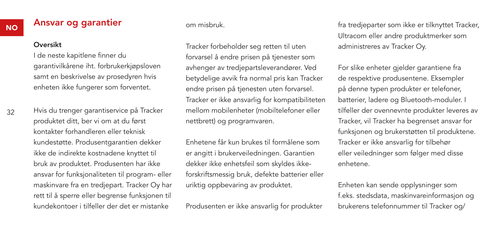#### No Ansvar og garantier

#### Oversikt

I de neste kapitlene finner du garantivilkårene iht. forbrukerkjøpsloven samt en beskrivelse av prosedyren hvis enheten ikke fungerer som forventet.

Hvis du trenger garantiservice på Tracker produktet ditt, ber vi om at du først kontakter forhandleren eller teknisk kundestøtte. Produsentgarantien dekker ikke de indirekte kostnadene knyttet til bruk av produktet. Produsenten har ikke ansvar for funksjonaliteten til program- eller maskinvare fra en tredjepart. Tracker Oy har rett til å sperre eller begrense funksjonen til kundekontoer i tilfeller der det er mistanke

om misbruk.

Tracker forbeholder seg retten til uten forvarsel å endre prisen på tjenester som avhenger av tredjepartsleverandører. Ved betydelige avvik fra normal pris kan Tracker endre prisen på tjenesten uten forvarsel. Tracker er ikke ansvarlig for kompatibiliteten mellom mobilenheter (mobiltelefoner eller nettbrett) og programvaren.

Enhetene får kun brukes til formålene som er angitt i brukerveiledningen. Garantien dekker ikke enhetsfeil som skyldes ikkeforskriftsmessig bruk, defekte batterier eller uriktig oppbevaring av produktet.

Produsenten er ikke ansvarlig for produkter

fra tredjeparter som ikke er tilknyttet Tracker, Ultracom eller andre produktmerker som administreres av Tracker Oy.

For slike enheter gjelder garantiene fra de respektive produsentene. Eksempler på denne typen produkter er telefoner, batterier, ladere og Bluetooth-moduler. I tilfeller der ovennevnte produkter leveres av Tracker, vil Tracker ha begrenset ansvar for funksjonen og brukerstøtten til produktene. Tracker er ikke ansvarlig for tilbehør eller veiledninger som følger med disse enhetene.

Enheten kan sende opplysninger som f.eks. stedsdata, maskinvareinformasjon og brukerens telefonnummer til Tracker og/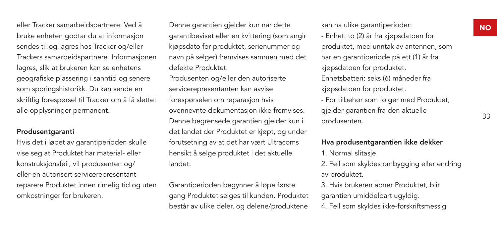eller Tracker samarbeidspartnere. Ved å Denne garantien gjelder kun når dette kan ha ulike garantiperioder: bruke enheten godtar du at informasjon sendes til og lagres hos Tracker og/eller Trackers samarbeidspartnere. Informasjonen lagres, slik at brukeren kan se enhetens geografiske plassering i sanntid og senere som sporingshistorikk. Du kan sende en skriftlig forespørsel til Tracker om å få slettet alle opplysninger permanent.

#### Produsentgaranti

Hvis det i løpet av garantiperioden skulle vise seg at Produktet har material- eller konstruksjonsfeil, vil produsenten og/ eller en autorisert servicerepresentant reparere Produktet innen rimelig tid og uten omkostninger for brukeren.

Denne garantien gjelder kun når dette garantibeviset eller en kvittering (som angir kjøpsdato for produktet, serienummer og navn på selger) fremvises sammen med det defekte Produktet.

Produsenten og/eller den autoriserte servicerepresentanten kan avvise forespørselen om reparasjon hvis ovennevnte dokumentasjon ikke fremvises. Denne begrensede garantien gjelder kun i det landet der Produktet er kjøpt, og under forutsetning av at det har vært Ultracoms hensikt å selge produktet i det aktuelle landet.

Garantiperioden begynner å løpe første gang Produktet selges til kunden. Produktet består av ulike deler, og delene/produktene

kan ha ulike garantiperioder:

- Enhet: to (2) år fra kjøpsdatoen for produktet, med unntak av antennen, som har en garantiperiode på ett (1) år fra kjøpsdatoen for produktet. Enhetsbatteri: seks (6) måneder fra kjøpsdatoen for produktet. - For tilbehør som følger med Produktet, gjelder garantien fra den aktuelle produsenten.

#### Hva produsentgarantien ikke dekker

1. Normal slitasje.

2. Feil som skyldes ombygging eller endring av produktet.

3. Hvis brukeren åpner Produktet, blir garantien umiddelbart ugyldig.

4. Feil som skyldes ikke-forskriftsmessig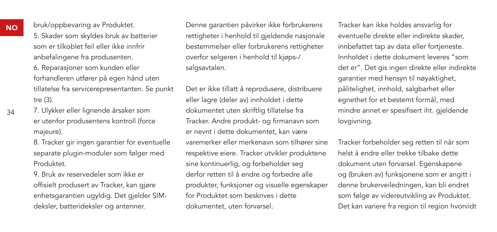bruk/oppbevaring av Produktet. 5. Skader som skyldes bruk av batterier som er tilkoblet feil eller ikke innfrir anbefalingene fra produsenten. 6. Reparasjoner som kunden eller forhandleren utfører på egen hånd uten tillatelse fra servicerepresentanten. Se punkt tre (3).

7. Ulykker eller lignende årsaker som er utenfor produsentens kontroll (force majeure).

8. Tracker gir ingen garantier for eventuelle separate plugin-moduler som følger med Produktet.

9. Bruk av reservedeler som ikke er offisielt produsert av Tracker, kan gjøre enhetsgarantien ugyldig. Det gjelder SIMdeksler, batterideksler og antenner.

NO bruk/oppbevaring av Produktet. Nog benne garantien påvirker ikke forbrukerens Tracker kan ikke holdes ansvarlig for rettigheter i henhold til gjeldende nasjonale bestemmelser eller forbrukerens rettigheter overfor selgeren i henhold til kjøps-/ salgsavtalen.

> Det er ikke tillatt å reprodusere, distribuere eller lagre (deler av) innholdet i dette dokumentet uten skriftlig tillatelse fra Tracker. Andre produkt- og firmanavn som er nevnt i dette dokumentet, kan være varemerker eller merkenavn som tilhører sine respektive eiere. Tracker utvikler produktene sine kontinuerlig, og forbeholder seg derfor retten til å endre og forbedre alle produkter, funksjoner og visuelle egenskaper for Produktet som beskrives i dette dokumentet, uten forvarsel.

eventuelle direkte eller indirekte skader, innbefattet tap av data eller fortjeneste. Innholdet i dette dokument leveres "som det er". Det gis ingen direkte eller indirekte garantier med hensyn til nøyaktighet, pålitelighet, innhold, salgbarhet eller egnethet for et bestemt formål, med mindre annet er spesifisert iht. gjeldende lovgivning.

Tracker forbeholder seg retten til når som helst å endre eller trekke tilbake dette dokument uten forvarsel. Egenskapene og (bruken av) funksjonene som er angitt i denne brukerveiledningen, kan bli endret som følge av videreutvikling av Produktet. Det kan variere fra region til region hvorvidt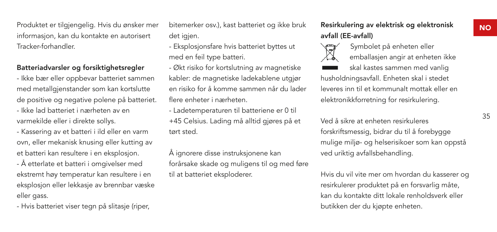Produktet er tilgjengelig. Hvis du ønsker mer bitemerker osv.), kast batteriet og ikke bruk Resirkulering av elektrisk og elektronisk MO informasjon, kan du kontakte en autorisert Tracker-forhandler.

#### Batteriadvarsler og forsiktighetsregler

- Ikke bær eller oppbevar batteriet sammen med metallgjenstander som kan kortslutte de positive og negative polene på batteriet. - Ikke lad batteriet i nærheten av en varmekilde eller i direkte sollys.

- Kassering av et batteri i ild eller en varm ovn, eller mekanisk knusing eller kutting av et batteri kan resultere i en eksplosjon.

- Å etterlate et batteri i omgivelser med ekstremt høy temperatur kan resultere i en eksplosjon eller lekkasje av brennbar væske eller gass.

- Hvis batteriet viser tegn på slitasje (riper,

bitemerker osv.), kast batteriet og ikke bruk det igjen.

- Eksplosjonsfare hvis batteriet byttes ut med en feil type batteri.

- Økt risiko for kortslutning av magnetiske kabler: de magnetiske ladekablene utgjør en risiko for å komme sammen når du lader flere enheter i nærheten.

- Ladetemperaturen til batteriene er 0 til +45 Celsius. Lading må alltid gjøres på et tørt sted.

Å ignorere disse instruksjonene kan forårsake skade og muligens til og med føre til at batteriet eksploderer.

Resirkulering av elektrisk og elektronisk avfall (EE-avfall)

 Symbolet på enheten eller emballasjen angir at enheten ikke skal kastes sammen med vanlig husholdningsavfall. Enheten skal i stedet leveres inn til et kommunalt mottak eller en elektronikkforretning for resirkulering.

Ved å sikre at enheten resirkuleres forskriftsmessig, bidrar du til å forebygge mulige miljø- og helserisikoer som kan oppstå ved uriktig avfallsbehandling.

Hvis du vil vite mer om hvordan du kasserer og resirkulerer produktet på en forsvarlig måte, kan du kontakte ditt lokale renholdsverk eller butikken der du kjøpte enheten.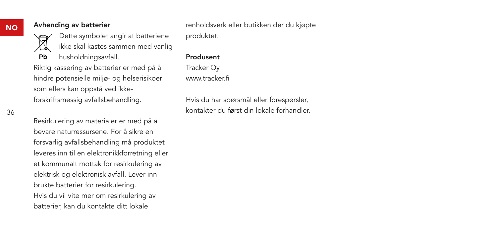#### NO Avhending av batterier

Dette symbolet angir at batteriene ikke skal kastes sammen med vanlig Pb husholdningsavfall. Riktig kassering av batterier er med på å hindre potensielle miljø- og helserisikoer som ellers kan oppstå ved ikkeforskriftsmessig avfallsbehandling.

36

Resirkulering av materialer er med på å bevare naturressursene. For å sikre en forsvarlig avfallsbehandling må produktet leveres inn til en elektronikkforretning eller et kommunalt mottak for resirkulering av elektrisk og elektronisk avfall. Lever inn brukte batterier for resirkulering. Hvis du vil vite mer om resirkulering av batterier, kan du kontakte ditt lokale

renholdsverk eller butikken der du kjøpte produktet.

#### Produsent

Tracker Oy www.tracker.fi

Hvis du har spørsmål eller forespørsler, kontakter du først din lokale forhandler.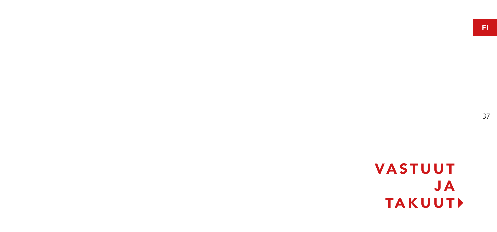# **VASTUUT** J A TAKUUT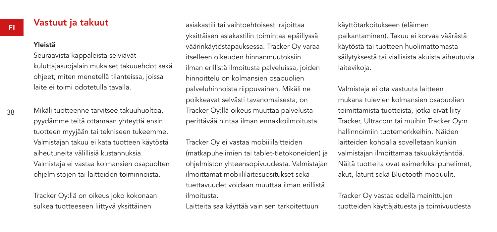#### **FI Vastuut ja takuut**

#### Yleistä

Seuraavista kappaleista selviävät kuluttajasuojalain mukaiset takuuehdot sekä ohjeet, miten menetellä tilanteissa, joissa laite ei toimi odotetulla tavalla.

Mikäli tuotteenne tarvitsee takuuhuoltoa, pyydämme teitä ottamaan yhteyttä ensin tuotteen myyjään tai tekniseen tukeemme. Valmistajan takuu ei kata tuotteen käytöstä aiheutuneita välillisiä kustannuksia. Valmistaja ei vastaa kolmansien osapuolten ohjelmistojen tai laitteiden toiminnoista.

Tracker Oy:llä on oikeus joko kokonaan sulkea tuotteeseen liittyvä yksittäinen

asiakastili tai vaihtoehtoisesti rajoittaa yksittäisen asiakastilin toimintaa epäillyssä väärinkäytöstapauksessa. Tracker Oy varaa itselleen oikeuden hinnanmuutoksiin ilman erillistä ilmoitusta palveluissa, joiden hinnoittelu on kolmansien osapuolien palveluhinnoista riippuvainen. Mikäli ne poikkeavat selvästi tavanomaisesta, on Tracker Oy:llä oikeus muuttaa palvelusta perittävää hintaa ilman ennakkoilmoitusta.

Tracker Oy ei vastaa mobiililaitteiden (matkapuhelimien tai tablet-tietokoneiden) ja ohjelmiston yhteensopivuudesta. Valmistajan ilmoittamat mobiililaitesuositukset sekä tuettavuudet voidaan muuttaa ilman erillistä ilmoitusta.

Laitteita saa käyttää vain sen tarkoitettuun

käyttötarkoitukseen (eläimen

paikantaminen). Takuu ei korvaa väärästä käytöstä tai tuotteen huolimattomasta säilytyksestä tai viallisista akuista aiheutuvia laitevikoja.

Valmistaja ei ota vastuuta laitteen mukana tulevien kolmansien osapuolien toimittamista tuotteista, jotka eivät liity Tracker, Ultracom tai muihin Tracker Oy:n hallinnoimiin tuotemerkkeihin. Näiden laitteiden kohdalla sovelletaan kunkin valmistajan ilmoittamaa takuukäytäntöä. Näitä tuotteita ovat esimerkiksi puhelimet, akut, laturit sekä Bluetooth-moduulit.

Tracker Oy vastaa edellä mainittujen tuotteiden käyttäjätuesta ja toimivuudesta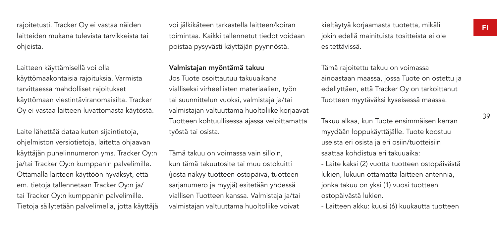laitteiden mukana tulevista tarvikkeista tai ohjeista.

Laitteen käyttämisellä voi olla käyttömaakohtaisia rajoituksia. Varmista tarvittaessa mahdolliset rajoitukset käyttömaan viestintäviranomaisilta. Tracker Oy ei vastaa laitteen luvattomasta käytöstä.

Laite lähettää dataa kuten sijaintietoja, ohjelmiston versiotietoja, laitetta ohjaavan käyttäjän puhelinnumeron yms. Tracker Oy:n ja/tai Tracker Oy:n kumppanin palvelimille. Ottamalla laitteen käyttöön hyväksyt, että em. tietoja tallennetaan Tracker Oy:n ja/ tai Tracker Oy:n kumppanin palvelimille. Tietoja säilytetään palvelimella, jotta käyttäjä

FI rajoitetusti. Tracker Oy ei vastaa näiden voi jälkikäteen tarkastella laitteen/koiran toimintaa. Kaikki tallennetut tiedot voidaan poistaa pysyvästi käyttäjän pyynnöstä.

Valmistajan myöntämä takuu

Jos Tuote osoittautuu takuuaikana vialliseksi virheellisten materiaalien, työn tai suunnittelun vuoksi, valmistaja ja/tai valmistajan valtuuttama huoltoliike korjaavat Tuotteen kohtuullisessa ajassa veloittamatta työstä tai osista.

Tämä takuu on voimassa vain silloin, kun tämä takuutosite tai muu ostokuitti (josta näkyy tuotteen ostopäivä, tuotteen sarjanumero ja myyjä) esitetään yhdessä viallisen Tuotteen kanssa. Valmistaja ja/tai valmistajan valtuuttama huoltoliike voivat

kieltäytyä korjaamasta tuotetta, mikäli jokin edellä mainituista tositteista ei ole esitettävissä.

Tämä rajoitettu takuu on voimassa ainoastaan maassa, jossa Tuote on ostettu ja edellyttäen, että Tracker Oy on tarkoittanut Tuotteen myytäväksi kyseisessä maassa.

Takuu alkaa, kun Tuote ensimmäisen kerran myydään loppukäyttäjälle. Tuote koostuu useista eri osista ja eri osiin/tuotteisiin saattaa kohdistua eri takuuaika:

- Laite kaksi (2) vuotta tuotteen ostopäivästä lukien, lukuun ottamatta laitteen antennia, jonka takuu on yksi (1) vuosi tuotteen ostopäivästä lukien.

- Laitteen akku: kuusi (6) kuukautta tuotteen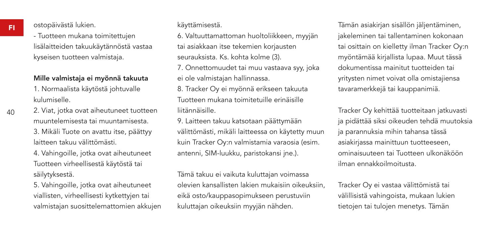ostopäivästä lukien.

- Tuotteen mukana toimitettujen lisälaitteiden takuukäytännöstä vastaa kyseisen tuotteen valmistaja.

#### Mille valmistaja ei myönnä takuuta

1. Normaalista käytöstä johtuvalle kulumiselle.

- 2. Viat, jotka ovat aiheutuneet tuotteen muuntelemisesta tai muuntamisesta. 3. Mikäli Tuote on avattu itse, päättyy laitteen takuu välittömästi.
	- 4. Vahingoille, jotka ovat aiheutuneet Tuotteen virheellisestä käytöstä tai säilytyksestä.

5. Vahingoille, jotka ovat aiheutuneet viallisten, virheellisesti kytkettyjen tai valmistajan suosittelemattomien akkujen käyttämisestä.

6. Valtuuttamattoman huoltoliikkeen, myyjän tai asiakkaan itse tekemien korjausten seurauksista. Ks. kohta kolme (3).

7. Onnettomuudet tai muu vastaava syy, joka ei ole valmistajan hallinnassa.

8. Tracker Oy ei myönnä erikseen takuuta Tuotteen mukana toimitetuille erinäisille liitännäisille.

9. Laitteen takuu katsotaan päättymään välittömästi, mikäli laitteessa on käytetty muun kuin Tracker Oy:n valmistamia varaosia (esim. antenni, SIM-luukku, paristokansi jne.).

Tämä takuu ei vaikuta kuluttajan voimassa olevien kansallisten lakien mukaisiin oikeuksiin, eikä osto/kauppasopimukseen perustuviin kuluttajan oikeuksiin myyjän nähden.

<sub>FI</sub> ostopäivästä lukien. Käyttämisestä. Käyttämisestä kuulustaa valtaa ja valtaa ja valtaa valtaa valtaa valtaa v jakeleminen tai tallentaminen kokonaan tai osittain on kielletty ilman Tracker Oy:n myöntämää kirjallista lupaa. Muut tässä dokumentissa mainitut tuotteiden tai yritysten nimet voivat olla omistajiensa tavaramerkkejä tai kauppanimiä.

> Tracker Oy kehittää tuotteitaan jatkuvasti ja pidättää siksi oikeuden tehdä muutoksia ja parannuksia mihin tahansa tässä asiakirjassa mainittuun tuotteeseen, ominaisuuteen tai Tuotteen ulkonäköön ilman ennakkoilmoitusta.

Tracker Oy ei vastaa välittömistä tai välillisistä vahingoista, mukaan lukien tietojen tai tulojen menetys. Tämän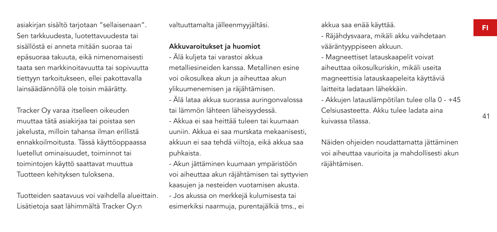asiakirjan sisältö tarjotaan "sellaisenaan". valtuuttamalta jälleenmyyjältäsi. Kunnan kakua saa enää käyttää. Sen tarkkuudesta, luotettavuudesta tai sisällöstä ei anneta mitään suoraa tai epäsuoraa takuuta, eikä nimenomaisesti taata sen markkinoitavuutta tai sopivuutta tiettyyn tarkoitukseen, ellei pakottavalla lainsäädännöllä ole toisin määrätty.

Tracker Oy varaa itselleen oikeuden muuttaa tätä asiakirjaa tai poistaa sen jakelusta, milloin tahansa ilman erillistä ennakkoilmoitusta. Tässä käyttöoppaassa luetellut ominaisuudet, toiminnot tai toimintojen käyttö saattavat muuttua Tuotteen kehityksen tuloksena.

Tuotteiden saatavuus voi vaihdella alueittain. Lisätietoja saat lähimmältä Tracker Oy:n

valtuuttamalta jälleenmyyjältäsi.

#### Akkuvaroitukset ja huomiot

- Älä kuljeta tai varastoi akkua metalliesineiden kanssa. Metallinen esine voi oikosulkea akun ja aiheuttaa akun ylikuumenemisen ja räjähtämisen. - Älä lataa akkua suorassa auringonvalossa tai lämmön lähteen läheisyydessä.

- Akkua ei saa heittää tuleen tai kuumaan uuniin. Akkua ei saa murskata mekaanisesti, akkuun ei saa tehdä viiltoja, eikä akkua saa puhkaista.

- Akun jättäminen kuumaan ympäristöön voi aiheuttaa akun räjähtämisen tai syttyvien kaasujen ja nesteiden vuotamisen akusta. - Jos akussa on merkkejä kulumisesta tai esimerkiksi naarmuja, purentajälkiä tms., ei

akkua saa enää käyttää.

- Räjähdysvaara, mikäli akku vaihdetaan vääräntyyppiseen akkuun.

- Magneettiset latauskaapelit voivat aiheuttaa oikosulkuriskin, mikäli useita magneettisia latauskaapeleita käyttäviä laitteita ladataan lähekkäin.

- Akkujen latauslämpötilan tulee olla 0 - +45 Celsiusasteetta. Akku tulee ladata aina kuivassa tilassa.

Näiden ohjeiden noudattamatta jättäminen voi aiheuttaa vaurioita ja mahdollisesti akun räjähtämisen.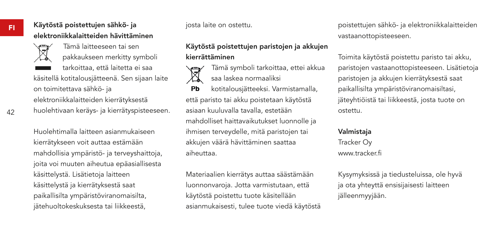#### **FI** Käytöstä poistettujen sähkö- ja elektroniikkalaitteiden hävittäminen

Tämä laitteeseen tai sen pakkaukseen merkitty symboli tarkoittaa, että laitetta ei saa käsitellä kotitalousjätteenä. Sen sijaan laite on toimitettava sähkö- ja elektroniikkalaitteiden kierrätyksestä huolehtivaan keräys- ja kierrätyspisteeseen.

Huolehtimalla laitteen asianmukaiseen kierrätykseen voit auttaa estämään mahdollisia ympäristö- ja terveyshaittoja, joita voi muuten aiheutua epäasiallisesta käsittelystä. Lisätietoja laitteen käsittelystä ja kierrätyksestä saat paikallisilta ympäristöviranomaisilta, jätehuoltokeskuksesta tai liikkeestä,

josta laite on ostettu.

#### Käytöstä poistettujen paristojen ja akkujen kierrättäminen

 Tämä symboli tarkoittaa, ettei akkua saa laskea normaaliksi

Pb kotitalousjätteeksi. Varmistamalla, että paristo tai akku poistetaan käytöstä asiaan kuuluvalla tavalla, estetään mahdolliset haittavaikutukset luonnolle ja ihmisen terveydelle, mitä paristojen tai akkujen väärä hävittäminen saattaa aiheuttaa.

Materiaalien kierrätys auttaa säästämään luonnonvaroja. Jotta varmistutaan, että käytöstä poistettu tuote käsitellään asianmukaisesti, tulee tuote viedä käytöstä poistettujen sähkö- ja elektroniikkalaitteiden vastaanottopisteeseen.

Toimita käytöstä poistettu paristo tai akku, paristojen vastaanottopisteeseen. Lisätietoja paristojen ja akkujen kierrätyksestä saat paikallisilta ympäristöviranomaisiltasi, jäteyhtiöistä tai liikkeestä, josta tuote on ostettu.

Valmistaja Tracker Oy www.tracker.fi

Kysymyksissä ja tiedusteluissa, ole hyvä ja ota yhteyttä ensisijaisesti laitteen jälleenmyyjään.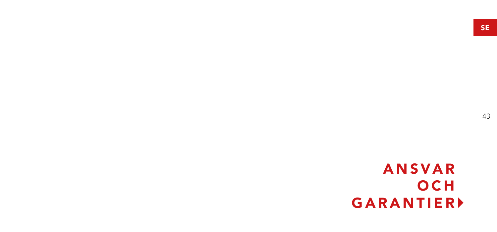### **ANSVAR OCH** GARANTIER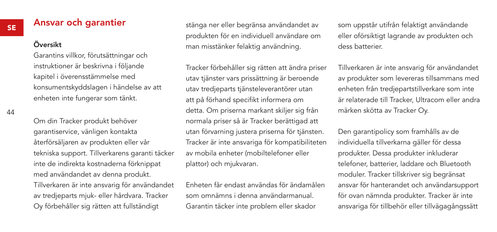#### SE Ansvar och garantier

#### Översikt

Garantins villkor, förutsättningar och instruktioner är beskrivna i följande kapitel i överensstämmelse med konsumentskyddslagen i händelse av att enheten inte fungerar som tänkt.

Om din Tracker produkt behöver garantiservice, vänligen kontakta återförsäljaren av produkten eller vår tekniska support. Tillverkarens garanti täcker inte de indirekta kostnaderna förknippat med användandet av denna produkt. Tillverkaren är inte ansvarig för användandet av tredjeparts mjuk- eller hårdvara. Tracker Oy förbehåller sig rätten att fullständigt

stänga ner eller begränsa användandet av produkten för en individuell användare om man misstänker felaktig användning.

Tracker förbehåller sig rätten att ändra priser utav tjänster vars prissättning är beroende utav tredjeparts tjänsteleverantörer utan att på förhand specifikt informera om detta. Om priserna markant skiljer sig från normala priser så är Tracker berättigad att utan förvarning justera priserna för tjänsten. Tracker är inte ansvariga för kompatibiliteten av mobila enheter (mobiltelefoner eller plattor) och mjukvaran.

Enheten får endast användas för ändamålen som omnämns i denna användarmanual. Garantin täcker inte problem eller skador

som uppstår utifrån felaktigt användande eller oförsiktigt lagrande av produkten och dess batterier.

Tillverkaren är inte ansvarig för användandet av produkter som levereras tillsammans med enheten från tredjepartstillverkare som inte är relaterade till Tracker, Ultracom eller andra märken skötta av Tracker Oy.

Den garantipolicy som framhålls av de individuella tillverkarna gäller för dessa produkter. Dessa produkter inkluderar telefoner, batterier, laddare och Bluetooth moduler. Tracker tillskriver sig begränsat ansvar för hanterandet och användarsupport för ovan nämnda produkter. Tracker är inte ansvariga för tillbehör eller tillvägagångssätt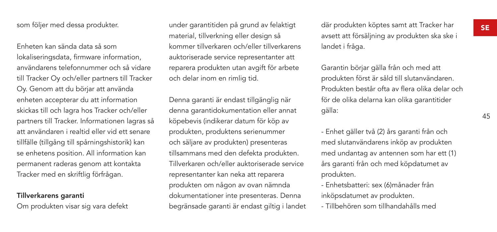Enheten kan sända data så som lokaliseringsdata, firmware information, användarens telefonnummer och så vidare till Tracker Oy och/eller partners till Tracker Oy. Genom att du börjar att använda enheten accepterar du att information skickas till och lagra hos Tracker och/eller partners till Tracker. Informationen lagras så att användaren i realtid eller vid ett senare tillfälle (tillgång till spårningshistorik) kan se enhetens position. All information kan permanent raderas genom att kontakta Tracker med en skriftlig förfrågan.

#### Tillverkarens garanti

Om produkten visar sig vara defekt

som följer med dessa produkter. Mann ander garantitiden på grund av felaktigt med af produkten köptes samt att Tracker har mann sprodukten bar mann sprodukten af ten mann sprodukten bar mann sprodukten bar mann sprodukten under garantitiden på grund av felaktigt material, tillverkning eller design så kommer tillverkaren och/eller tillverkarens auktoriserade service representanter att reparera produkten utan avgift för arbete och delar inom en rimlig tid.

> Denna garanti är endast tillgänglig när denna garantidokumentation eller annat köpebevis (indikerar datum för köp av produkten, produktens serienummer och säljare av produkten) presenteras tillsammans med den defekta produkten. Tillverkaren och/eller auktoriserade service representanter kan neka att reparera produkten om någon av ovan nämnda dokumentationer inte presenteras. Denna begränsade garanti är endast giltig i landet

avsett att försäljning av produkten ska ske i landet i fråga.

Garantin börjar gälla från och med att produkten först är såld till slutanvändaren. Produkten består ofta av flera olika delar och för de olika delarna kan olika garantitider gälla:

- Enhet gäller två (2) års garanti från och med slutanvändarens inköp av produkten med undantag av antennen som har ett (1) års garanti från och med köpdatumet av produkten.

- Enhetsbatteri: sex (6)månader från inköpsdatumet av produkten.

- Tillbehören som tillhandahålls med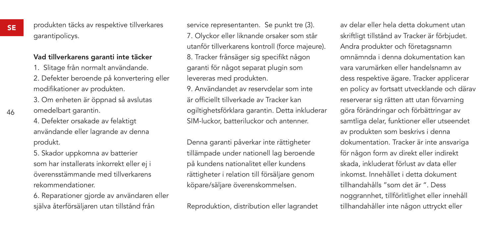garantipolicys.

#### Vad tillverkarens garanti inte täcker

1. Slitage från normalt användande.

2. Defekter beroende på konvertering eller modifikationer av produkten.

3. Om enheten är öppnad så avslutas omedelbart garantin.

4. Defekter orsakade av felaktigt användande eller lagrande av denna produkt.

5. Skador uppkomna av batterier som har installerats inkorrekt eller ej i överensstämmande med tillverkarens rekommendationer.

6. Reparationer gjorde av användaren eller själva återförsäljaren utan tillstånd från

<mark>se s</mark> produkten täcks av respektive tillverkares service representanten. Se punkt tre (3). Sav delar eller hela detta dokument utan tertan detta dokument utan territan service representan en en exercitan detta dokument ut service representanten. Se punkt tre (3). 7. Olyckor eller liknande orsaker som står utanför tillverkarens kontroll (force majeure). 8. Tracker frånsäger sig specifikt någon garanti för något separat plugin som levereras med produkten.

> 9. Användandet av reservdelar som inte är officiellt tillverkade av Tracker kan ogiltighetsförklara garantin. Detta inkluderar SIM-luckor, batteriluckor och antenner.

Denna garanti påverkar inte rättigheter tillämpade under nationell lag beroende på kundens nationalitet eller kundens rättigheter i relation till försäljare genom köpare/säljare överenskommelsen.

Reproduktion, distribution eller lagrandet

skriftligt tillstånd av Tracker är förbjudet. Andra produkter och företagsnamn omnämnda i denna dokumentation kan vara varumärken eller handelsnamn av dess respektive ägare. Tracker applicerar en policy av fortsatt utvecklande och därav reserverar sig rätten att utan förvarning göra förändringar och förbättringar av samtliga delar, funktioner eller utseendet av produkten som beskrivs i denna dokumentation. Tracker är inte ansvariga för någon form av direkt eller indirekt skada, inkluderat förlust av data eller inkomst. Innehållet i detta dokument tillhandahålls "som det är ". Dess noggrannhet, tillförlitlighet eller innehåll tillhandahåller inte någon uttryckt eller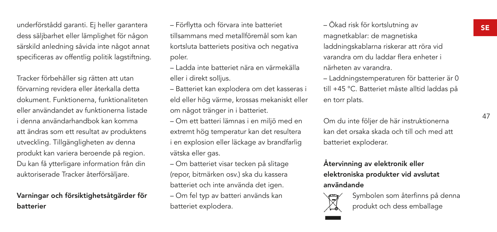underförstådd garanti. Ej heller garantera – Förflytta och förvara inte batteriet – Ökad risk för kortslutning av dess säljbarhet eller lämplighet för någon särskild anledning såvida inte något annat specificeras av offentlig politik lagstiftning.

Tracker förbehåller sig rätten att utan förvarning revidera eller återkalla detta dokument. Funktionerna, funktionaliteten eller användandet av funktionerna listade i denna användarhandbok kan komma att ändras som ett resultat av produktens utveckling. Tillgängligheten av denna produkt kan variera beroende på region. Du kan få ytterligare information från din auktoriserade Tracker återförsäljare.

Varningar och försiktighetsåtgärder för batterier

– Förflytta och förvara inte batteriet tillsammans med metallföremål som kan kortsluta batteriets positiva och negativa poler.

– Ladda inte batteriet nära en värmekälla eller i direkt solljus.

– Batteriet kan explodera om det kasseras i eld eller hög värme, krossas mekaniskt eller om något tränger in i batteriet.

– Om ett batteri lämnas i en miljö med en extremt hög temperatur kan det resultera i en explosion eller läckage av brandfarlig vätska eller gas.

– Om batteriet visar tecken på slitage (repor, bitmärken osv.) ska du kassera batteriet och inte använda det igen.

– Om fel typ av batteri används kan batteriet explodera.

– Ökad risk för kortslutning av magnetkablar: de magnetiska laddningskablarna riskerar att röra vid varandra om du laddar flera enheter i närheten av varandra.

– Laddningstemperaturen för batterier är 0 till +45 °C. Batteriet måste alltid laddas på en torr plats.

Om du inte följer de här instruktionerna kan det orsaka skada och till och med att batteriet exploderar.

Återvinning av elektronik eller elektroniska produkter vid avslutat användande



Symbolen som återfinns på denna produkt och dess emballage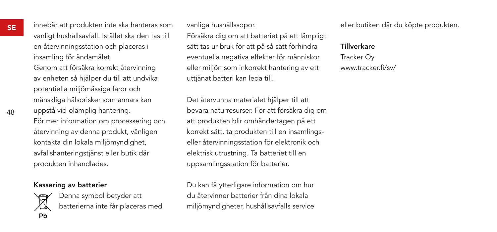SE innebär att produkten inte ska hanteras som vanligt hushållsavfall. Istället ska den tas till en återvinningsstation och placeras i insamling för ändamålet.

> Genom att försäkra korrekt återvinning av enheten så hjälper du till att undvika potentiella miljömässiga faror och mänskliga hälsorisker som annars kan uppstå vid olämplig hantering. För mer information om processering och återvinning av denna produkt, vänligen kontakta din lokala miljömyndighet, avfallshanteringstjänst eller butik där produkten inhandlades.

#### Kassering av batterier



Denna symbol betyder att batterierna inte får placeras med vanliga hushållssopor.

Försäkra dig om att batteriet på ett lämpligt sätt tas ur bruk för att på så sätt förhindra eventuella negativa effekter för människor eller miljön som inkorrekt hantering av ett uttjänat batteri kan leda till.

Det återvunna materialet hjälper till att bevara naturresurser. För att försäkra dig om att produkten blir omhändertagen på ett korrekt sätt, ta produkten till en insamlingseller återvinningsstation för elektronik och elektrisk utrustning. Ta batteriet till en uppsamlingsstation för batterier.

Du kan få ytterligare information om hur du återvinner batterier från dina lokala miljömyndigheter, hushållsavfalls service eller butiken där du köpte produkten.

#### **Tillverkare** Tracker Oy www.tracker.fi/sv/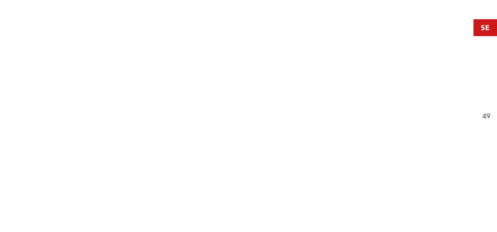SE

49